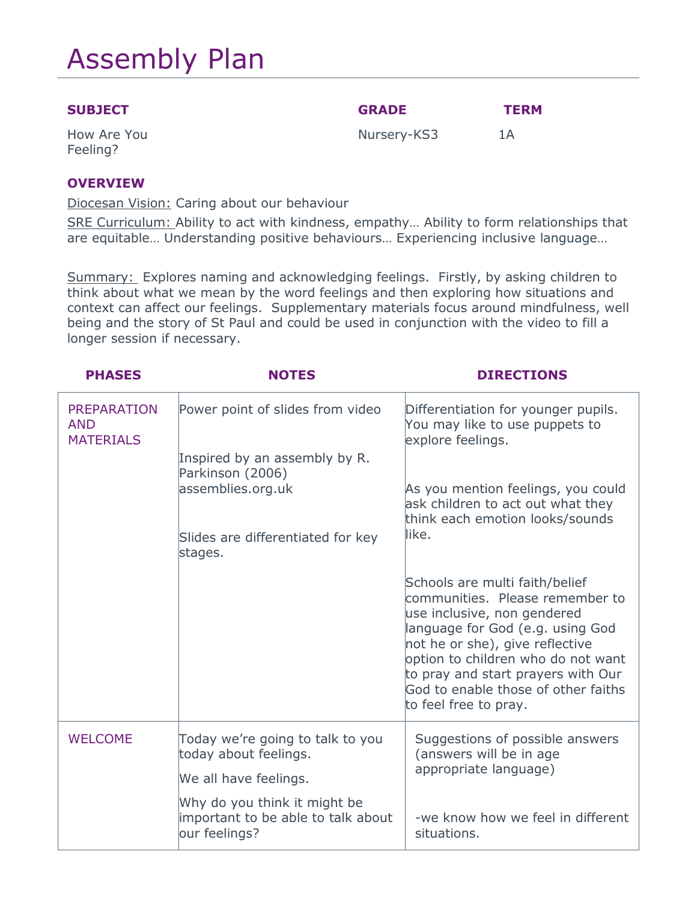# Assembly Plan

| <b>SUBJECT</b> | <b>GRADE</b> | <b>TERM</b> |
|----------------|--------------|-------------|
|                |              |             |

How Are You Feeling?

Nursery-KS3 1A

**OVERVIEW**

Diocesan Vision: Caring about our behaviour

SRE Curriculum: Ability to act with kindness, empathy... Ability to form relationships that are equitable… Understanding positive behaviours… Experiencing inclusive language…

Summary: Explores naming and acknowledging feelings. Firstly, by asking children to think about what we mean by the word feelings and then exploring how situations and context can affect our feelings. Supplementary materials focus around mindfulness, well being and the story of St Paul and could be used in conjunction with the video to fill a longer session if necessary.

| <b>PHASES</b>                                        | <b>NOTES</b>                                                                        | <b>DIRECTIONS</b>                                                                                                                                                                                                                                                                                                   |
|------------------------------------------------------|-------------------------------------------------------------------------------------|---------------------------------------------------------------------------------------------------------------------------------------------------------------------------------------------------------------------------------------------------------------------------------------------------------------------|
| <b>PREPARATION</b><br><b>AND</b><br><b>MATERIALS</b> | Power point of slides from video                                                    | Differentiation for younger pupils.<br>You may like to use puppets to<br>explore feelings.                                                                                                                                                                                                                          |
|                                                      | Inspired by an assembly by R.<br>Parkinson (2006)                                   |                                                                                                                                                                                                                                                                                                                     |
|                                                      | assemblies.org.uk                                                                   | As you mention feelings, you could<br>ask children to act out what they<br>think each emotion looks/sounds                                                                                                                                                                                                          |
|                                                      | Slides are differentiated for key<br>stages.                                        | like.                                                                                                                                                                                                                                                                                                               |
|                                                      |                                                                                     | Schools are multi faith/belief<br>communities. Please remember to<br>use inclusive, non gendered<br>language for God (e.g. using God<br>not he or she), give reflective<br>option to children who do not want<br>to pray and start prayers with Our<br>God to enable those of other faiths<br>to feel free to pray. |
| <b>WELCOME</b>                                       | Today we're going to talk to you<br>today about feelings.<br>We all have feelings.  | Suggestions of possible answers<br>(answers will be in age<br>appropriate language)                                                                                                                                                                                                                                 |
|                                                      | Why do you think it might be<br>important to be able to talk about<br>our feelings? | -we know how we feel in different<br>situations.                                                                                                                                                                                                                                                                    |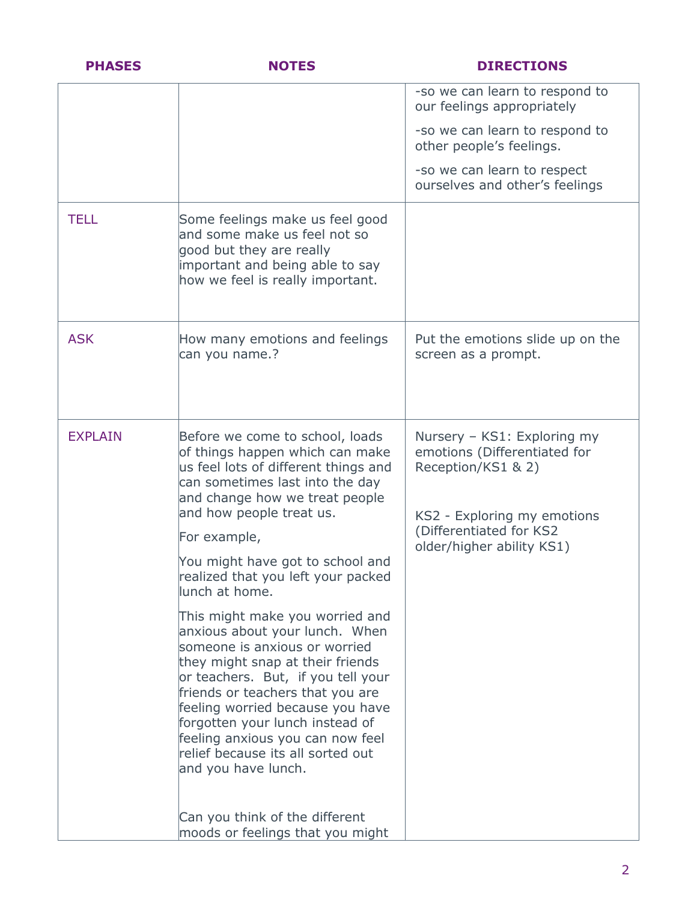| <b>PHASES</b>  | <b>NOTES</b>                                                                                                                                                                                                                                                                                                                                                                            | <b>DIRECTIONS</b>                                                                                                |
|----------------|-----------------------------------------------------------------------------------------------------------------------------------------------------------------------------------------------------------------------------------------------------------------------------------------------------------------------------------------------------------------------------------------|------------------------------------------------------------------------------------------------------------------|
|                |                                                                                                                                                                                                                                                                                                                                                                                         | -so we can learn to respond to<br>our feelings appropriately                                                     |
|                |                                                                                                                                                                                                                                                                                                                                                                                         | -so we can learn to respond to<br>other people's feelings.                                                       |
|                |                                                                                                                                                                                                                                                                                                                                                                                         | -so we can learn to respect<br>ourselves and other's feelings                                                    |
| <b>TELL</b>    | Some feelings make us feel good<br>and some make us feel not so<br>good but they are really<br>important and being able to say<br>how we feel is really important.                                                                                                                                                                                                                      |                                                                                                                  |
| <b>ASK</b>     | How many emotions and feelings<br>can you name.?                                                                                                                                                                                                                                                                                                                                        | Put the emotions slide up on the<br>screen as a prompt.                                                          |
| <b>EXPLAIN</b> | Before we come to school, loads<br>of things happen which can make<br>us feel lots of different things and<br>can sometimes last into the day<br>and change how we treat people<br>and how people treat us.                                                                                                                                                                             | Nursery - KS1: Exploring my<br>emotions (Differentiated for<br>Reception/KS1 & 2)<br>KS2 - Exploring my emotions |
|                | For example,                                                                                                                                                                                                                                                                                                                                                                            | (Differentiated for KS2<br>older/higher ability KS1)                                                             |
|                | You might have got to school and<br>realized that you left your packed<br>lunch at home.                                                                                                                                                                                                                                                                                                |                                                                                                                  |
|                | This might make you worried and<br>anxious about your lunch. When<br>someone is anxious or worried<br>they might snap at their friends<br>or teachers. But, if you tell your<br>friends or teachers that you are<br>feeling worried because you have<br>forgotten your lunch instead of<br>feeling anxious you can now feel<br>relief because its all sorted out<br>and you have lunch. |                                                                                                                  |
|                | Can you think of the different<br>moods or feelings that you might                                                                                                                                                                                                                                                                                                                      |                                                                                                                  |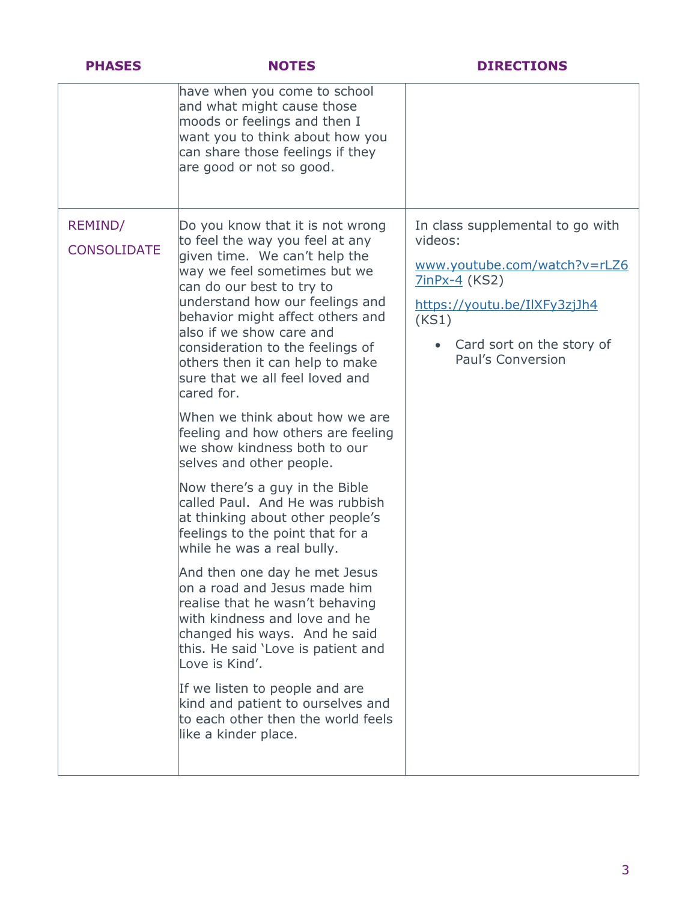| <b>PHASES</b>                 | <b>NOTES</b>                                                                                                                                                                                                                                                                                                                                                                                                                                                                                                                                                                                                                                                                                                                                                                                                                                                                                                                                                                                                                                                                   | <b>DIRECTIONS</b>                                                                                                                                                                                |
|-------------------------------|--------------------------------------------------------------------------------------------------------------------------------------------------------------------------------------------------------------------------------------------------------------------------------------------------------------------------------------------------------------------------------------------------------------------------------------------------------------------------------------------------------------------------------------------------------------------------------------------------------------------------------------------------------------------------------------------------------------------------------------------------------------------------------------------------------------------------------------------------------------------------------------------------------------------------------------------------------------------------------------------------------------------------------------------------------------------------------|--------------------------------------------------------------------------------------------------------------------------------------------------------------------------------------------------|
|                               | have when you come to school<br>and what might cause those<br>moods or feelings and then I<br>want you to think about how you<br>can share those feelings if they<br>are good or not so good.                                                                                                                                                                                                                                                                                                                                                                                                                                                                                                                                                                                                                                                                                                                                                                                                                                                                                  |                                                                                                                                                                                                  |
| REMIND/<br><b>CONSOLIDATE</b> | Do you know that it is not wrong<br>to feel the way you feel at any<br>given time. We can't help the<br>way we feel sometimes but we<br>can do our best to try to<br>understand how our feelings and<br>behavior might affect others and<br>also if we show care and<br>consideration to the feelings of<br>others then it can help to make<br>sure that we all feel loved and<br>cared for.<br>When we think about how we are<br>feeling and how others are feeling<br>we show kindness both to our<br>selves and other people.<br>Now there's a guy in the Bible<br>called Paul. And He was rubbish<br>at thinking about other people's<br>feelings to the point that for a<br>while he was a real bully.<br>And then one day he met Jesus<br>on a road and Jesus made him<br>realise that he wasn't behaving<br>with kindness and love and he<br>changed his ways. And he said<br>this. He said 'Love is patient and<br>Love is Kind'.<br>If we listen to people and are<br>kind and patient to ourselves and<br>to each other then the world feels<br>like a kinder place. | In class supplemental to go with<br>videos:<br>www.youtube.com/watch?v=rLZ6<br><b>7inPx-4</b> (KS2)<br>https://youtu.be/IlXFy3zjJh4<br>(KS1)<br>• Card sort on the story of<br>Paul's Conversion |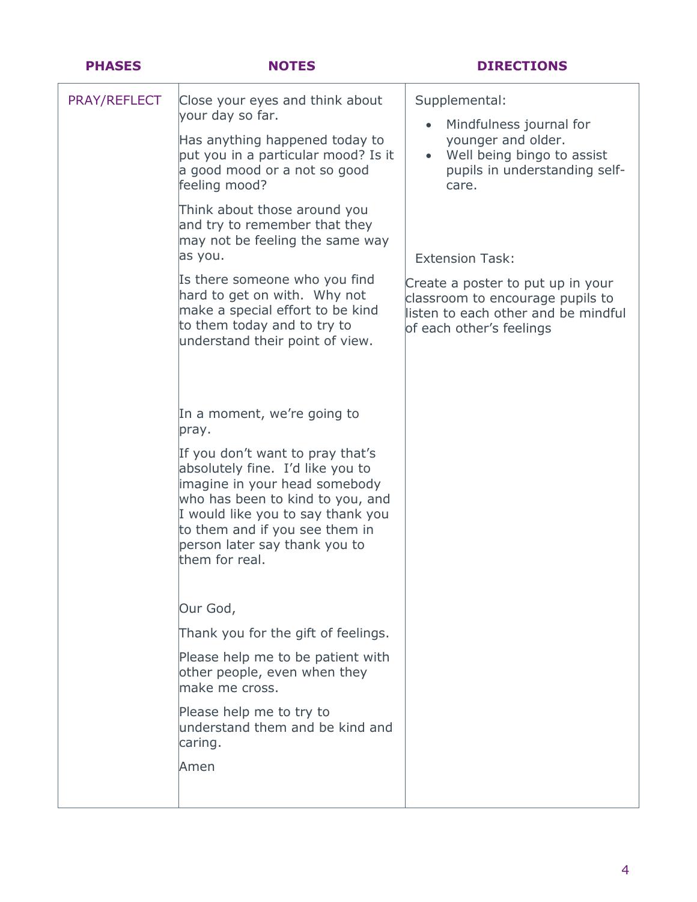| <b>PHASES</b> | <b>NOTES</b>                                                                                                                                                                                                                                                        | <b>DIRECTIONS</b>                                                                                                                        |
|---------------|---------------------------------------------------------------------------------------------------------------------------------------------------------------------------------------------------------------------------------------------------------------------|------------------------------------------------------------------------------------------------------------------------------------------|
| PRAY/REFLECT  | Close your eyes and think about<br>your day so far.                                                                                                                                                                                                                 | Supplemental:<br>Mindfulness journal for<br>$\bullet$                                                                                    |
|               | Has anything happened today to<br>put you in a particular mood? Is it<br>a good mood or a not so good<br>feeling mood?                                                                                                                                              | younger and older.<br>Well being bingo to assist<br>$\bullet$<br>pupils in understanding self-<br>care.                                  |
|               | Think about those around you<br>and try to remember that they<br>may not be feeling the same way<br>as you.                                                                                                                                                         | <b>Extension Task:</b>                                                                                                                   |
|               | Is there someone who you find<br>hard to get on with. Why not<br>make a special effort to be kind<br>to them today and to try to<br>understand their point of view.                                                                                                 | Create a poster to put up in your<br>classroom to encourage pupils to<br>listen to each other and be mindful<br>of each other's feelings |
|               | In a moment, we're going to<br>pray.                                                                                                                                                                                                                                |                                                                                                                                          |
|               | If you don't want to pray that's<br>absolutely fine. I'd like you to<br>imagine in your head somebody<br>who has been to kind to you, and<br>I would like you to say thank you<br>to them and if you see them in<br>person later say thank you to<br>them for real. |                                                                                                                                          |
|               | Our God,                                                                                                                                                                                                                                                            |                                                                                                                                          |
|               | Thank you for the gift of feelings.                                                                                                                                                                                                                                 |                                                                                                                                          |
|               | Please help me to be patient with<br>other people, even when they<br>make me cross.                                                                                                                                                                                 |                                                                                                                                          |
|               | Please help me to try to<br>understand them and be kind and<br>caring.                                                                                                                                                                                              |                                                                                                                                          |
|               | Amen                                                                                                                                                                                                                                                                |                                                                                                                                          |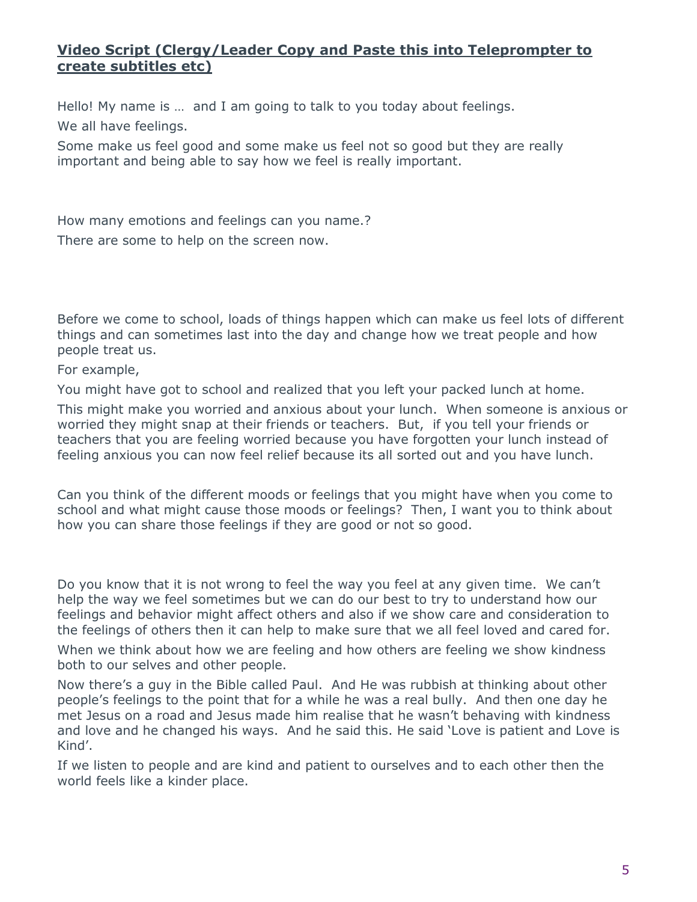# **Video Script (Clergy/Leader Copy and Paste this into Teleprompter to create subtitles etc)**

Hello! My name is … and I am going to talk to you today about feelings. We all have feelings.

Some make us feel good and some make us feel not so good but they are really important and being able to say how we feel is really important.

How many emotions and feelings can you name.? There are some to help on the screen now.

Before we come to school, loads of things happen which can make us feel lots of different things and can sometimes last into the day and change how we treat people and how people treat us.

For example,

You might have got to school and realized that you left your packed lunch at home.

This might make you worried and anxious about your lunch. When someone is anxious or worried they might snap at their friends or teachers. But, if you tell your friends or teachers that you are feeling worried because you have forgotten your lunch instead of feeling anxious you can now feel relief because its all sorted out and you have lunch.

Can you think of the different moods or feelings that you might have when you come to school and what might cause those moods or feelings? Then, I want you to think about how you can share those feelings if they are good or not so good.

Do you know that it is not wrong to feel the way you feel at any given time. We can't help the way we feel sometimes but we can do our best to try to understand how our feelings and behavior might affect others and also if we show care and consideration to the feelings of others then it can help to make sure that we all feel loved and cared for.

When we think about how we are feeling and how others are feeling we show kindness both to our selves and other people.

Now there's a guy in the Bible called Paul. And He was rubbish at thinking about other people's feelings to the point that for a while he was a real bully. And then one day he met Jesus on a road and Jesus made him realise that he wasn't behaving with kindness and love and he changed his ways. And he said this. He said 'Love is patient and Love is Kind'.

If we listen to people and are kind and patient to ourselves and to each other then the world feels like a kinder place.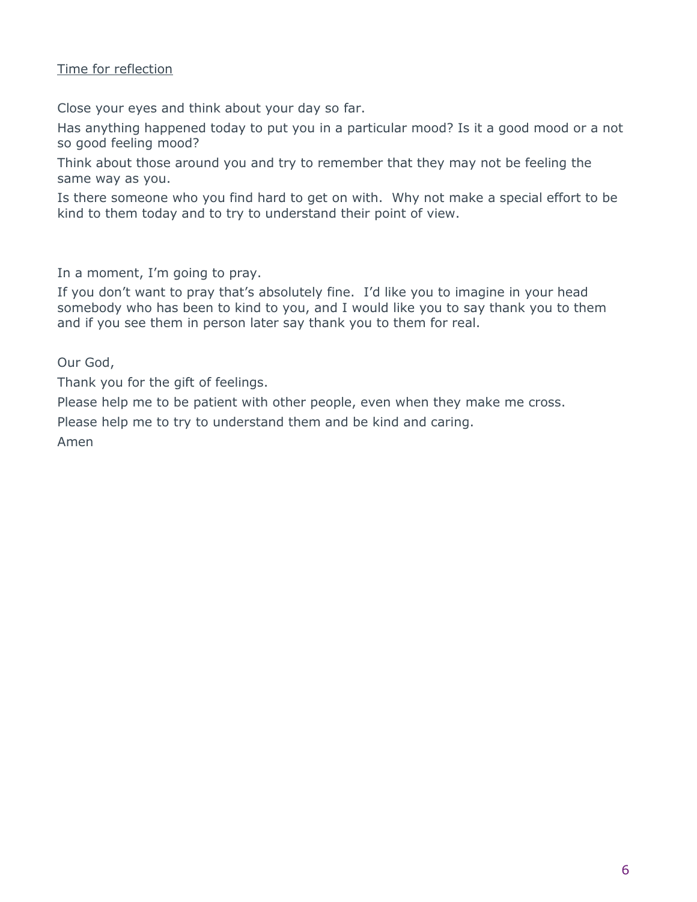### Time for reflection

Close your eyes and think about your day so far.

Has anything happened today to put you in a particular mood? Is it a good mood or a not so good feeling mood?

Think about those around you and try to remember that they may not be feeling the same way as you.

Is there someone who you find hard to get on with. Why not make a special effort to be kind to them today and to try to understand their point of view.

In a moment, I'm going to pray.

If you don't want to pray that's absolutely fine. I'd like you to imagine in your head somebody who has been to kind to you, and I would like you to say thank you to them and if you see them in person later say thank you to them for real.

Our God,

Thank you for the gift of feelings.

Please help me to be patient with other people, even when they make me cross.

Please help me to try to understand them and be kind and caring.

Amen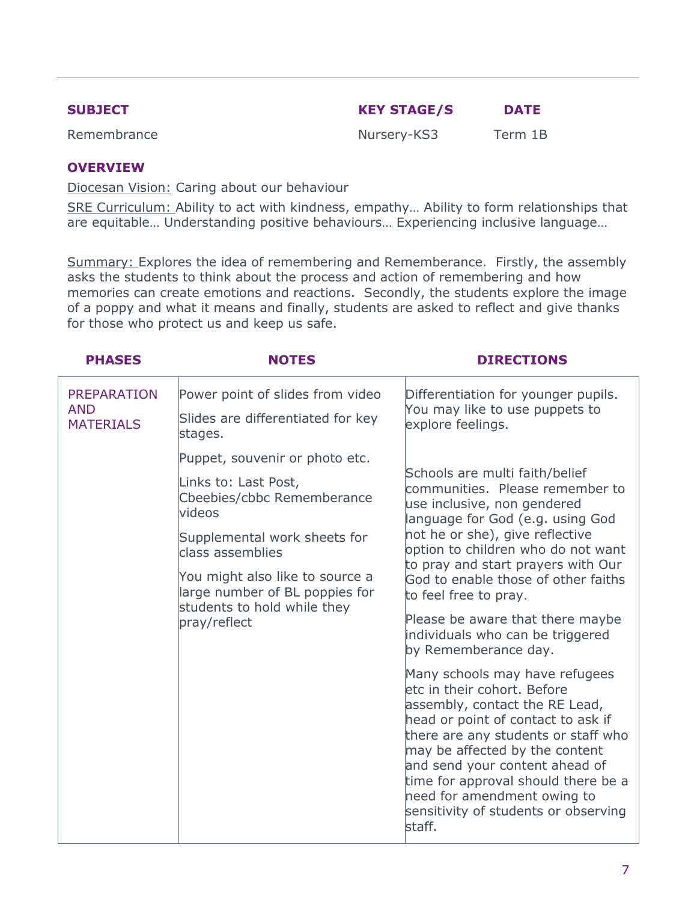| <b>SUBJECT</b> | <b>KEY STAGE/S</b> | <b>DATE</b> |
|----------------|--------------------|-------------|
| Remembrance    | Nursery-KS3        | Term 1B     |

#### **OVERVIEW**

Diocesan Vision: Caring about our behaviour

SRE Curriculum: Ability to act with kindness, empathy… Ability to form relationships that are equitable… Understanding positive behaviours… Experiencing inclusive language…

Summary: Explores the idea of remembering and Rememberance. Firstly, the assembly asks the students to think about the process and action of remembering and how memories can create emotions and reactions. Secondly, the students explore the image of a poppy and what it means and finally, students are asked to reflect and give thanks for those who protect us and keep us safe.

| <b>PHASES</b>                                        | <b>NOTES</b>                                                                                                                                                                                                                                                                  | <b>DIRECTIONS</b>                                                                                                                                                                                                                                                                                                                                                                                                                                                                                                                                                                                                                                                                                                                                                                                |
|------------------------------------------------------|-------------------------------------------------------------------------------------------------------------------------------------------------------------------------------------------------------------------------------------------------------------------------------|--------------------------------------------------------------------------------------------------------------------------------------------------------------------------------------------------------------------------------------------------------------------------------------------------------------------------------------------------------------------------------------------------------------------------------------------------------------------------------------------------------------------------------------------------------------------------------------------------------------------------------------------------------------------------------------------------------------------------------------------------------------------------------------------------|
| <b>PREPARATION</b><br><b>AND</b><br><b>MATERIALS</b> | Power point of slides from video<br>Slides are differentiated for key<br>stages.                                                                                                                                                                                              | Differentiation for younger pupils.<br>You may like to use puppets to<br>explore feelings.                                                                                                                                                                                                                                                                                                                                                                                                                                                                                                                                                                                                                                                                                                       |
|                                                      | Puppet, souvenir or photo etc.<br>Links to: Last Post,<br>Cbeebies/cbbc Rememberance<br><b>videos</b><br>Supplemental work sheets for<br>class assemblies<br>You might also like to source a<br>large number of BL poppies for<br>students to hold while they<br>pray/reflect | Schools are multi faith/belief<br>communities. Please remember to<br>use inclusive, non gendered<br>language for God (e.g. using God<br>not he or she), give reflective<br>option to children who do not want<br>to pray and start prayers with Our<br>God to enable those of other faiths<br>to feel free to pray.<br>Please be aware that there maybe<br>individuals who can be triggered<br>by Rememberance day.<br>Many schools may have refugees<br>letc in their cohort. Before<br>assembly, contact the RE Lead,<br>head or point of contact to ask if<br>there are any students or staff who<br>may be affected by the content<br>and send your content ahead of<br>time for approval should there be a<br>need for amendment owing to<br>sensitivity of students or observing<br>staff. |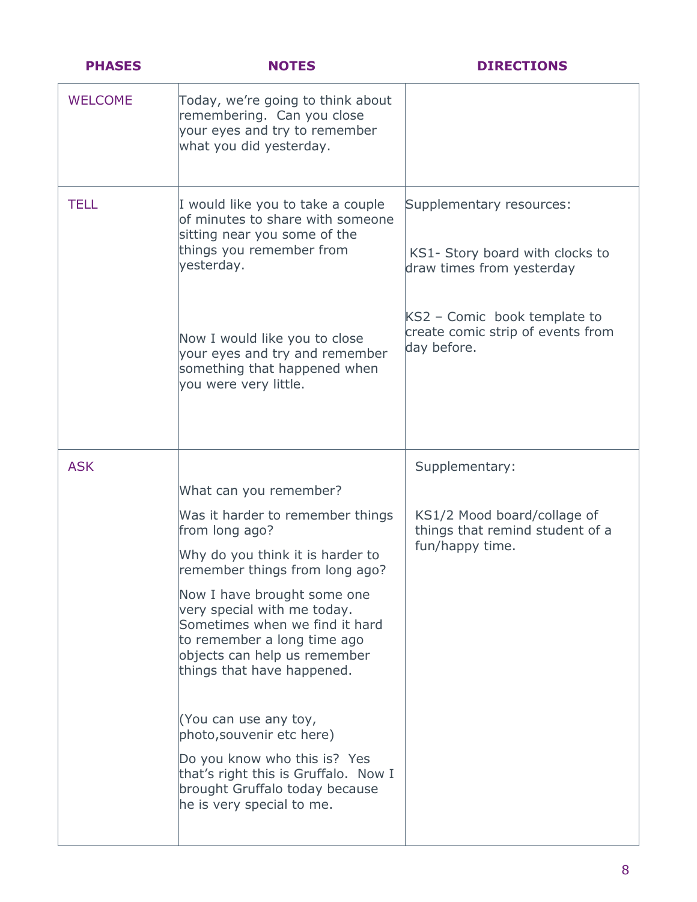| <b>PHASES</b>  | <b>NOTES</b>                                                                                                                                                                                                                                                                                                                                                                                                                                                                          | <b>DIRECTIONS</b>                                                                                                                                                            |
|----------------|---------------------------------------------------------------------------------------------------------------------------------------------------------------------------------------------------------------------------------------------------------------------------------------------------------------------------------------------------------------------------------------------------------------------------------------------------------------------------------------|------------------------------------------------------------------------------------------------------------------------------------------------------------------------------|
| <b>WELCOME</b> | Today, we're going to think about<br>remembering. Can you close<br>your eyes and try to remember<br>what you did yesterday.                                                                                                                                                                                                                                                                                                                                                           |                                                                                                                                                                              |
| <b>TELL</b>    | I would like you to take a couple<br>of minutes to share with someone<br>sitting near you some of the<br>things you remember from<br>yesterday.<br>Now I would like you to close<br>your eyes and try and remember<br>something that happened when<br>you were very little.                                                                                                                                                                                                           | Supplementary resources:<br>KS1- Story board with clocks to<br>draw times from yesterday<br>KS2 - Comic book template to<br>create comic strip of events from<br>day before. |
| <b>ASK</b>     |                                                                                                                                                                                                                                                                                                                                                                                                                                                                                       | Supplementary:                                                                                                                                                               |
|                | What can you remember?                                                                                                                                                                                                                                                                                                                                                                                                                                                                |                                                                                                                                                                              |
|                | Was it harder to remember things<br>from long ago?<br>Why do you think it is harder to<br>remember things from long ago?<br>Now I have brought some one<br>very special with me today.<br>Sometimes when we find it hard<br>to remember a long time ago<br>objects can help us remember<br>things that have happened.<br>(You can use any toy,<br>photo, souvenir etc here)<br>Do you know who this is? Yes<br>that's right this is Gruffalo. Now I<br>brought Gruffalo today because | KS1/2 Mood board/collage of<br>things that remind student of a<br>fun/happy time.                                                                                            |
|                | he is very special to me.                                                                                                                                                                                                                                                                                                                                                                                                                                                             |                                                                                                                                                                              |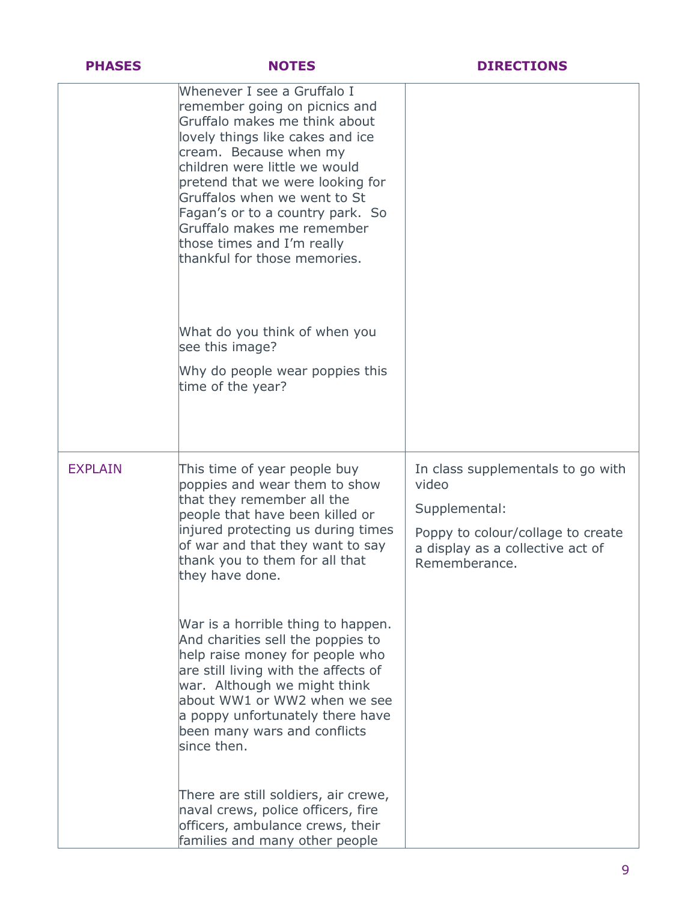| <b>PHASES</b>  | <b>NOTES</b>                                                                                                                                                                                                                                                                                                                                                                                     | <b>DIRECTIONS</b>                                                                                                                                     |
|----------------|--------------------------------------------------------------------------------------------------------------------------------------------------------------------------------------------------------------------------------------------------------------------------------------------------------------------------------------------------------------------------------------------------|-------------------------------------------------------------------------------------------------------------------------------------------------------|
|                | Whenever I see a Gruffalo I<br>remember going on picnics and<br>Gruffalo makes me think about<br>lovely things like cakes and ice<br>cream. Because when my<br>children were little we would<br>pretend that we were looking for<br>Gruffalos when we went to St<br>Fagan's or to a country park. So<br>Gruffalo makes me remember<br>those times and I'm really<br>thankful for those memories. |                                                                                                                                                       |
|                | What do you think of when you<br>see this image?                                                                                                                                                                                                                                                                                                                                                 |                                                                                                                                                       |
|                | Why do people wear poppies this<br>time of the year?                                                                                                                                                                                                                                                                                                                                             |                                                                                                                                                       |
| <b>EXPLAIN</b> | This time of year people buy<br>poppies and wear them to show<br>that they remember all the<br>people that have been killed or<br>injured protecting us during times<br>of war and that they want to say<br>thank you to them for all that<br>they have done.                                                                                                                                    | In class supplementals to go with<br>video<br>Supplemental:<br>Poppy to colour/collage to create<br>a display as a collective act of<br>Rememberance. |
|                | War is a horrible thing to happen.<br>And charities sell the poppies to<br>help raise money for people who<br>are still living with the affects of<br>war. Although we might think<br>about WW1 or WW2 when we see<br>a poppy unfortunately there have<br>been many wars and conflicts<br>since then.                                                                                            |                                                                                                                                                       |
|                | There are still soldiers, air crewe,<br>naval crews, police officers, fire<br>officers, ambulance crews, their<br>families and many other people                                                                                                                                                                                                                                                 |                                                                                                                                                       |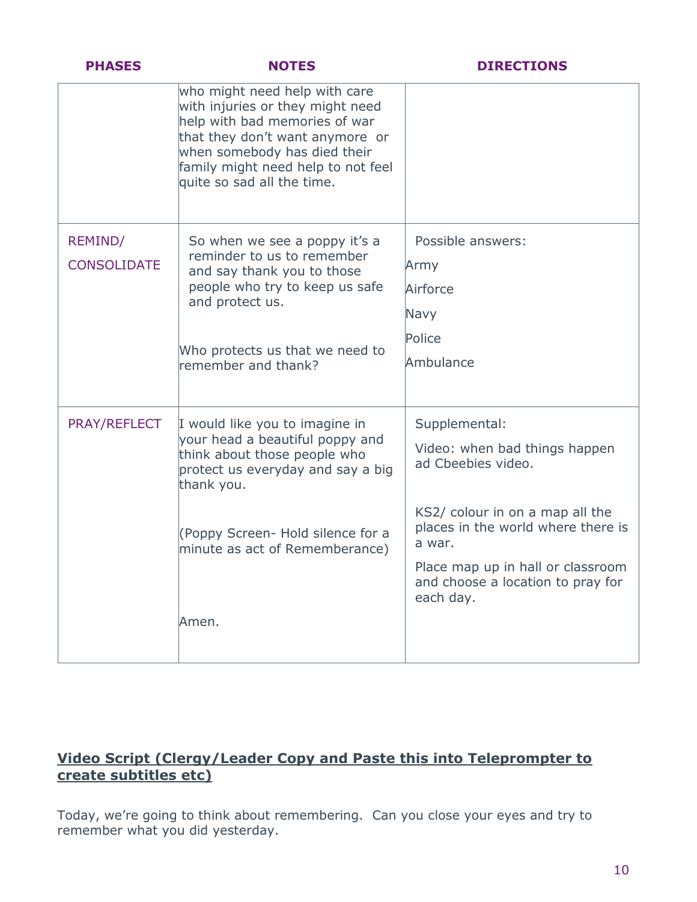| <b>PHASES</b>      | <b>NOTES</b>                                                                                                                                                                                                                              | <b>DIRECTIONS</b>                                                                   |
|--------------------|-------------------------------------------------------------------------------------------------------------------------------------------------------------------------------------------------------------------------------------------|-------------------------------------------------------------------------------------|
|                    | who might need help with care<br>with injuries or they might need<br>help with bad memories of war<br>that they don't want anymore or<br>when somebody has died their<br>family might need help to not feel<br>quite so sad all the time. |                                                                                     |
| REMIND/            | So when we see a poppy it's a                                                                                                                                                                                                             | Possible answers:                                                                   |
| <b>CONSOLIDATE</b> | reminder to us to remember<br>and say thank you to those                                                                                                                                                                                  | Army                                                                                |
|                    | people who try to keep us safe<br>and protect us.                                                                                                                                                                                         | Airforce                                                                            |
|                    |                                                                                                                                                                                                                                           | Navy                                                                                |
|                    | Who protects us that we need to                                                                                                                                                                                                           | Police                                                                              |
|                    | remember and thank?                                                                                                                                                                                                                       | Ambulance                                                                           |
| PRAY/REFLECT       | I would like you to imagine in                                                                                                                                                                                                            | Supplemental:                                                                       |
|                    | your head a beautiful poppy and<br>think about those people who<br>protect us everyday and say a big<br>thank you.                                                                                                                        | Video: when bad things happen<br>ad Cbeebies video.                                 |
|                    | (Poppy Screen- Hold silence for a<br>minute as act of Rememberance)                                                                                                                                                                       | KS2/ colour in on a map all the<br>places in the world where there is<br>a war.     |
|                    |                                                                                                                                                                                                                                           | Place map up in hall or classroom<br>and choose a location to pray for<br>each day. |
|                    | Amen.                                                                                                                                                                                                                                     |                                                                                     |

# **Video Script (Clergy/Leader Copy and Paste this into Teleprompter to create subtitles etc)**

Today, we're going to think about remembering. Can you close your eyes and try to remember what you did yesterday.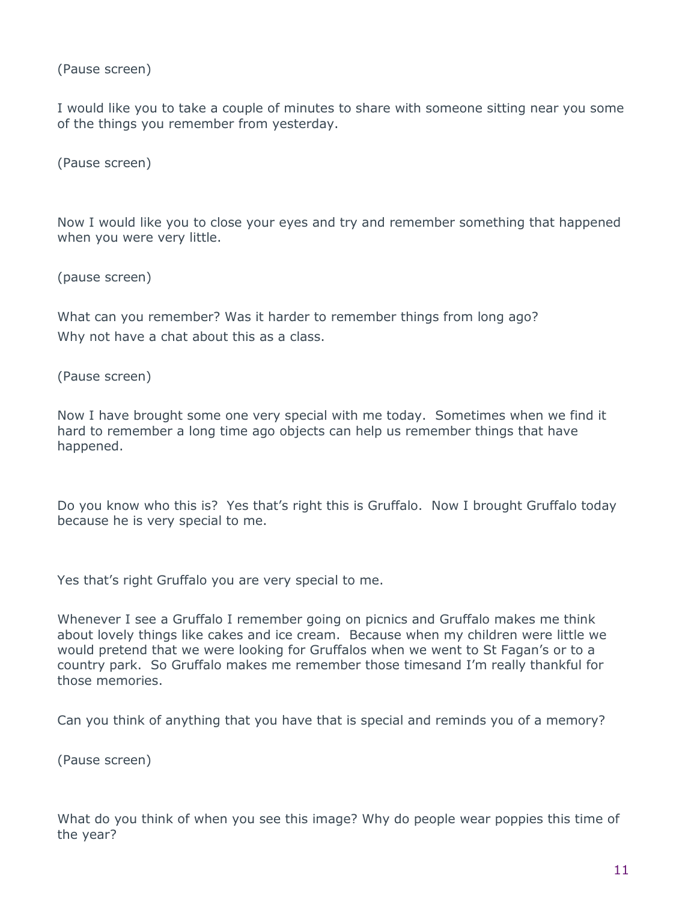(Pause screen)

I would like you to take a couple of minutes to share with someone sitting near you some of the things you remember from yesterday.

(Pause screen)

Now I would like you to close your eyes and try and remember something that happened when you were very little.

(pause screen)

What can you remember? Was it harder to remember things from long ago? Why not have a chat about this as a class.

(Pause screen)

Now I have brought some one very special with me today. Sometimes when we find it hard to remember a long time ago objects can help us remember things that have happened.

Do you know who this is? Yes that's right this is Gruffalo. Now I brought Gruffalo today because he is very special to me.

Yes that's right Gruffalo you are very special to me.

Whenever I see a Gruffalo I remember going on picnics and Gruffalo makes me think about lovely things like cakes and ice cream. Because when my children were little we would pretend that we were looking for Gruffalos when we went to St Fagan's or to a country park. So Gruffalo makes me remember those timesand I'm really thankful for those memories.

Can you think of anything that you have that is special and reminds you of a memory?

(Pause screen)

What do you think of when you see this image? Why do people wear poppies this time of the year?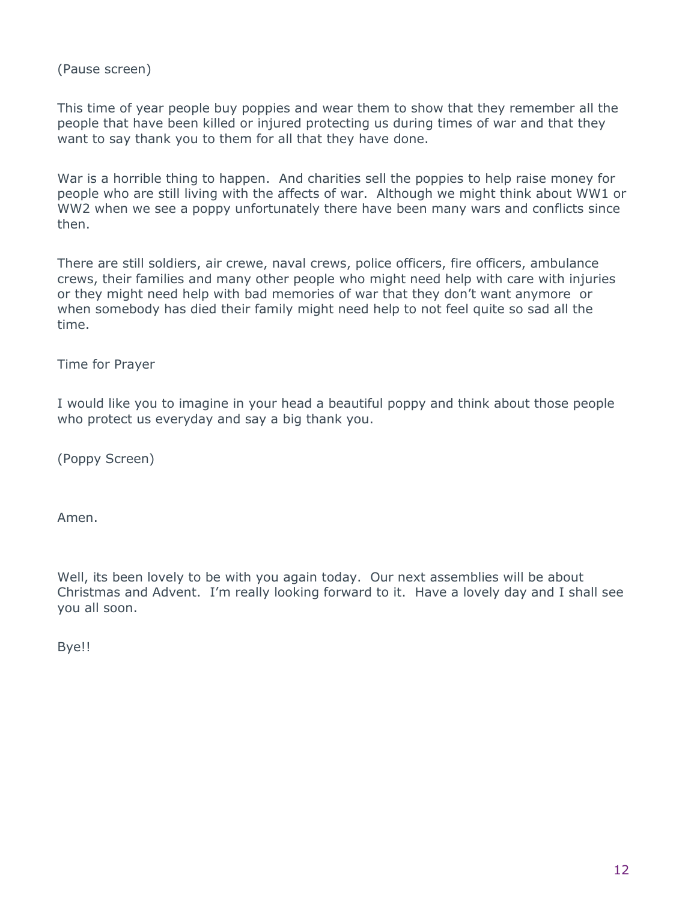(Pause screen)

This time of year people buy poppies and wear them to show that they remember all the people that have been killed or injured protecting us during times of war and that they want to say thank you to them for all that they have done.

War is a horrible thing to happen. And charities sell the poppies to help raise money for people who are still living with the affects of war. Although we might think about WW1 or WW2 when we see a poppy unfortunately there have been many wars and conflicts since then.

There are still soldiers, air crewe, naval crews, police officers, fire officers, ambulance crews, their families and many other people who might need help with care with injuries or they might need help with bad memories of war that they don't want anymore or when somebody has died their family might need help to not feel quite so sad all the time.

Time for Prayer

I would like you to imagine in your head a beautiful poppy and think about those people who protect us everyday and say a big thank you.

(Poppy Screen)

Amen.

Well, its been lovely to be with you again today. Our next assemblies will be about Christmas and Advent. I'm really looking forward to it. Have a lovely day and I shall see you all soon.

Bye!!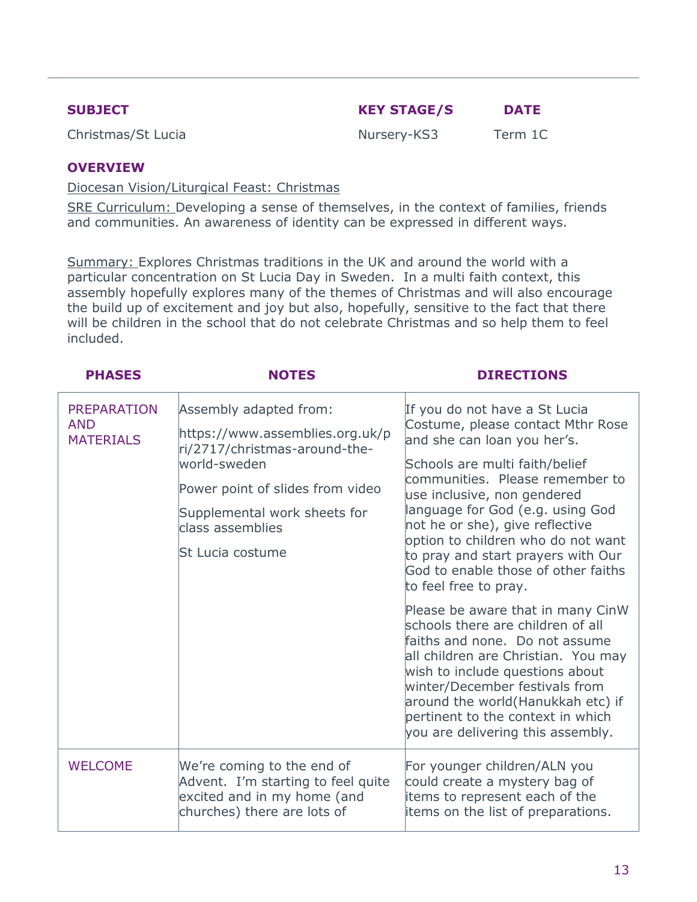| <b>SUBJECT</b> | <b>KEY STAGE/S</b> | <b>DATE</b> |
|----------------|--------------------|-------------|
|                |                    |             |

Christmas/St Lucia Nursery-KS3 Term 1C

### **OVERVIEW**

Diocesan Vision/Liturgical Feast: Christmas

SRE Curriculum: Developing a sense of themselves, in the context of families, friends and communities. An awareness of identity can be expressed in different ways.

Summary: Explores Christmas traditions in the UK and around the world with a particular concentration on St Lucia Day in Sweden. In a multi faith context, this assembly hopefully explores many of the themes of Christmas and will also encourage the build up of excitement and joy but also, hopefully, sensitive to the fact that there will be children in the school that do not celebrate Christmas and so help them to feel included.

| <b>PHASES</b>                                        | <b>NOTES</b>                                                                                                                                                                                                           | <b>DIRECTIONS</b>                                                                                                                                                                                                                                                                                                                                                                                                                                                                                                                                                                                                                                                                                                                                               |
|------------------------------------------------------|------------------------------------------------------------------------------------------------------------------------------------------------------------------------------------------------------------------------|-----------------------------------------------------------------------------------------------------------------------------------------------------------------------------------------------------------------------------------------------------------------------------------------------------------------------------------------------------------------------------------------------------------------------------------------------------------------------------------------------------------------------------------------------------------------------------------------------------------------------------------------------------------------------------------------------------------------------------------------------------------------|
| <b>PREPARATION</b><br><b>AND</b><br><b>MATERIALS</b> | Assembly adapted from:<br>https://www.assemblies.org.uk/p<br>ri/2717/christmas-around-the-<br>world-sweden<br>Power point of slides from video<br>Supplemental work sheets for<br>class assemblies<br>St Lucia costume | If you do not have a St Lucia<br>Costume, please contact Mthr Rose<br>and she can loan you her's.<br>Schools are multi faith/belief<br>communities. Please remember to<br>use inclusive, non gendered<br>language for God (e.g. using God<br>not he or she), give reflective<br>option to children who do not want<br>to pray and start prayers with Our<br>God to enable those of other faiths<br>to feel free to pray.<br>Please be aware that in many CinW<br>schools there are children of all<br>faiths and none. Do not assume<br>all children are Christian. You may<br>wish to include questions about<br>winter/December festivals from<br>around the world(Hanukkah etc) if<br>pertinent to the context in which<br>you are delivering this assembly. |
| <b>WELCOME</b>                                       | We're coming to the end of<br>Advent. I'm starting to feel quite<br>excited and in my home (and<br>churches) there are lots of                                                                                         | For younger children/ALN you<br>could create a mystery bag of<br>items to represent each of the<br>items on the list of preparations.                                                                                                                                                                                                                                                                                                                                                                                                                                                                                                                                                                                                                           |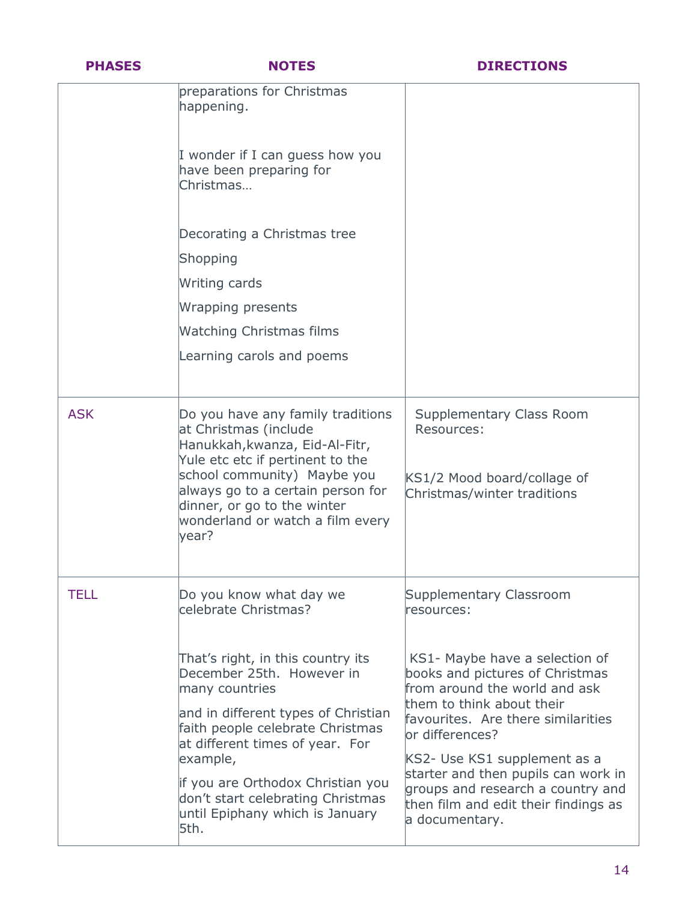| <b>PHASES</b> | <b>NOTES</b>                                                                                                                                                                                                                                                                                                                    | <b>DIRECTIONS</b>                                                                                                                                                                                                                                                                                                                                               |
|---------------|---------------------------------------------------------------------------------------------------------------------------------------------------------------------------------------------------------------------------------------------------------------------------------------------------------------------------------|-----------------------------------------------------------------------------------------------------------------------------------------------------------------------------------------------------------------------------------------------------------------------------------------------------------------------------------------------------------------|
|               | preparations for Christmas<br>happening.                                                                                                                                                                                                                                                                                        |                                                                                                                                                                                                                                                                                                                                                                 |
|               | I wonder if I can guess how you<br>have been preparing for<br>Christmas                                                                                                                                                                                                                                                         |                                                                                                                                                                                                                                                                                                                                                                 |
|               | Decorating a Christmas tree                                                                                                                                                                                                                                                                                                     |                                                                                                                                                                                                                                                                                                                                                                 |
|               | Shopping                                                                                                                                                                                                                                                                                                                        |                                                                                                                                                                                                                                                                                                                                                                 |
|               | Writing cards                                                                                                                                                                                                                                                                                                                   |                                                                                                                                                                                                                                                                                                                                                                 |
|               | Wrapping presents                                                                                                                                                                                                                                                                                                               |                                                                                                                                                                                                                                                                                                                                                                 |
|               | <b>Watching Christmas films</b>                                                                                                                                                                                                                                                                                                 |                                                                                                                                                                                                                                                                                                                                                                 |
|               | Learning carols and poems                                                                                                                                                                                                                                                                                                       |                                                                                                                                                                                                                                                                                                                                                                 |
| <b>ASK</b>    | Do you have any family traditions<br>at Christmas (include<br>Hanukkah, kwanza, Eid-Al-Fitr,<br>Yule etc etc if pertinent to the<br>school community) Maybe you<br>always go to a certain person for<br>dinner, or go to the winter<br>wonderland or watch a film every<br>year?                                                | <b>Supplementary Class Room</b><br>Resources:<br>KS1/2 Mood board/collage of<br>Christmas/winter traditions                                                                                                                                                                                                                                                     |
| TELL          | Do you know what day we<br>celebrate Christmas?                                                                                                                                                                                                                                                                                 | Supplementary Classroom<br>resources:                                                                                                                                                                                                                                                                                                                           |
|               | That's right, in this country its<br>December 25th. However in<br>many countries<br>and in different types of Christian<br>faith people celebrate Christmas<br>at different times of year. For<br>example,<br>if you are Orthodox Christian you<br>don't start celebrating Christmas<br>until Epiphany which is January<br>5th. | KS1- Maybe have a selection of<br>books and pictures of Christmas<br>from around the world and ask<br>them to think about their<br>favourites. Are there similarities<br>lor differences?<br>KS2- Use KS1 supplement as a<br>starter and then pupils can work in<br>groups and research a country and<br>then film and edit their findings as<br>a documentary. |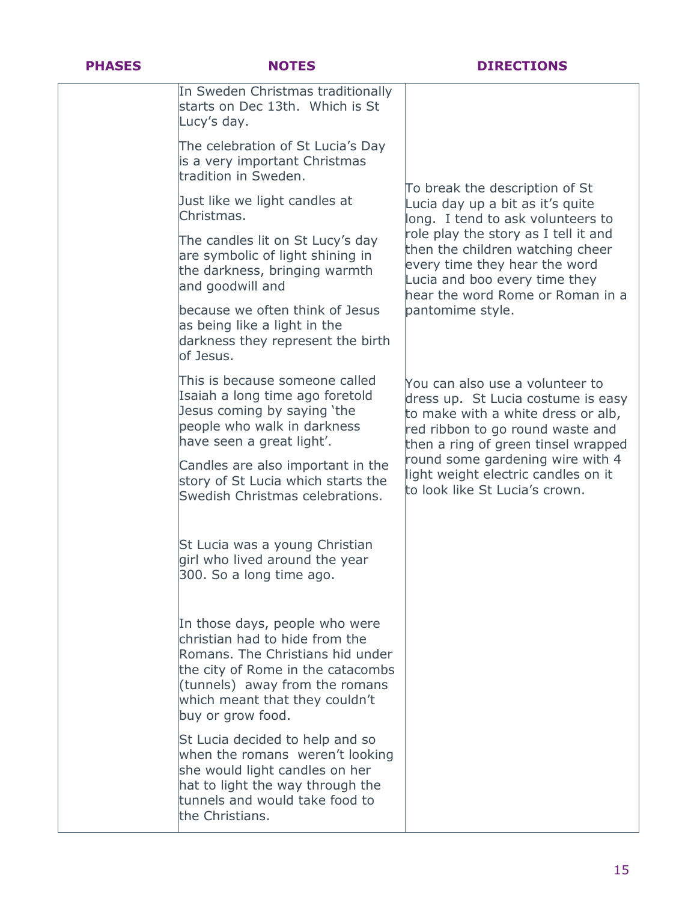| . .<br><b>Service Service</b><br>ı |  |  |
|------------------------------------|--|--|
|                                    |  |  |

| In Sweden Christmas traditionally<br>starts on Dec 13th. Which is St<br>Lucy's day.                                                                                                                                                |                                                                                                                                                                                        |
|------------------------------------------------------------------------------------------------------------------------------------------------------------------------------------------------------------------------------------|----------------------------------------------------------------------------------------------------------------------------------------------------------------------------------------|
| The celebration of St Lucia's Day<br>is a very important Christmas<br>tradition in Sweden.                                                                                                                                         |                                                                                                                                                                                        |
| Just like we light candles at<br>Christmas.                                                                                                                                                                                        | To break the description of St<br>Lucia day up a bit as it's quite<br>long. I tend to ask volunteers to                                                                                |
| The candles lit on St Lucy's day<br>are symbolic of light shining in<br>the darkness, bringing warmth<br>and goodwill and                                                                                                          | role play the story as I tell it and<br>then the children watching cheer<br>every time they hear the word<br>Lucia and boo every time they<br>hear the word Rome or Roman in a         |
| because we often think of Jesus<br>as being like a light in the<br>darkness they represent the birth<br>of Jesus.                                                                                                                  | pantomime style.                                                                                                                                                                       |
| This is because someone called<br>Isaiah a long time ago foretold<br>Jesus coming by saying 'the<br>people who walk in darkness<br>have seen a great light'.                                                                       | You can also use a volunteer to<br>dress up. St Lucia costume is easy<br>to make with a white dress or alb,<br>red ribbon to go round waste and<br>then a ring of green tinsel wrapped |
| Candles are also important in the<br>story of St Lucia which starts the<br>Swedish Christmas celebrations.                                                                                                                         | round some gardening wire with 4<br>light weight electric candles on it<br>to look like St Lucia's crown.                                                                              |
| St Lucia was a young Christian<br>girl who lived around the year<br>300. So a long time ago.                                                                                                                                       |                                                                                                                                                                                        |
| In those days, people who were<br>christian had to hide from the<br>Romans. The Christians hid under<br>the city of Rome in the catacombs<br>(tunnels) away from the romans<br>which meant that they couldn't<br>buy or grow food. |                                                                                                                                                                                        |
| St Lucia decided to help and so<br>when the romans weren't looking<br>she would light candles on her<br>hat to light the way through the<br>tunnels and would take food to<br>the Christians.                                      |                                                                                                                                                                                        |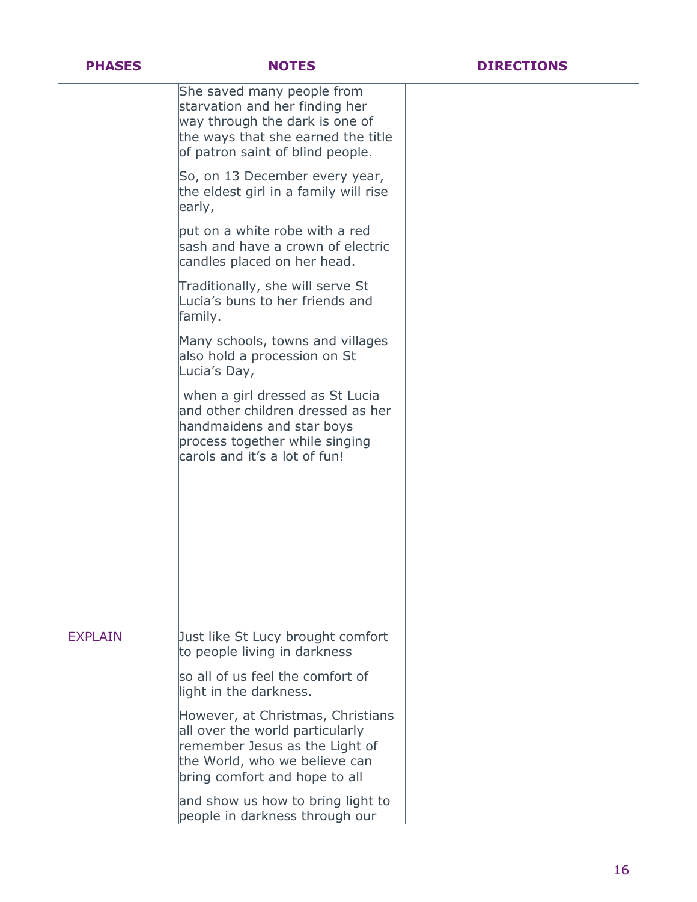|  | ų. |  |
|--|----|--|
|  |    |  |

|                | She saved many people from<br>starvation and her finding her<br>way through the dark is one of<br>the ways that she earned the title<br>of patron saint of blind people. |  |
|----------------|--------------------------------------------------------------------------------------------------------------------------------------------------------------------------|--|
|                | So, on 13 December every year,<br>the eldest girl in a family will rise<br>early,                                                                                        |  |
|                | but on a white robe with a red<br>sash and have a crown of electric<br>candles placed on her head.                                                                       |  |
|                | Traditionally, she will serve St<br>Lucia's buns to her friends and<br>family.                                                                                           |  |
|                | Many schools, towns and villages<br>also hold a procession on St<br>Lucia's Day,                                                                                         |  |
|                | when a girl dressed as St Lucia<br>and other children dressed as her<br>handmaidens and star boys<br>process together while singing<br>carols and it's a lot of fun!     |  |
|                |                                                                                                                                                                          |  |
| <b>EXPLAIN</b> | Just like St Lucy brought comfort<br>to people living in darkness                                                                                                        |  |
|                | so all of us feel the comfort of<br>light in the darkness.                                                                                                               |  |
|                | However, at Christmas, Christians<br>all over the world particularly<br>remember Jesus as the Light of<br>the World, who we believe can<br>bring comfort and hope to all |  |
|                | and show us how to bring light to<br>people in darkness through our                                                                                                      |  |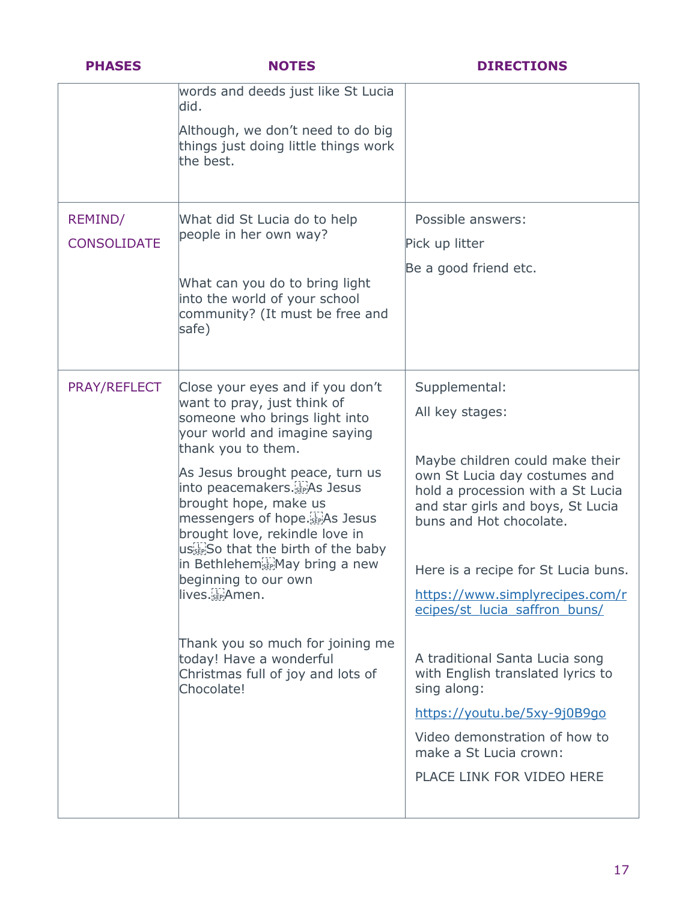| <b>PHASES</b>                        | <b>NOTES</b>                                                                                                                                                                                                                                                                                                                                                                                                                                                                                                                                                    | <b>DIRECTIONS</b>                                                                                                                                                                                                                                                                                                                                                                                                                                                                                                                  |
|--------------------------------------|-----------------------------------------------------------------------------------------------------------------------------------------------------------------------------------------------------------------------------------------------------------------------------------------------------------------------------------------------------------------------------------------------------------------------------------------------------------------------------------------------------------------------------------------------------------------|------------------------------------------------------------------------------------------------------------------------------------------------------------------------------------------------------------------------------------------------------------------------------------------------------------------------------------------------------------------------------------------------------------------------------------------------------------------------------------------------------------------------------------|
|                                      | words and deeds just like St Lucia<br>did.<br>Although, we don't need to do big<br>things just doing little things work<br>the best.                                                                                                                                                                                                                                                                                                                                                                                                                            |                                                                                                                                                                                                                                                                                                                                                                                                                                                                                                                                    |
| <b>REMIND/</b><br><b>CONSOLIDATE</b> | What did St Lucia do to help<br>people in her own way?<br>What can you do to bring light<br>into the world of your school<br>community? (It must be free and<br>safe)                                                                                                                                                                                                                                                                                                                                                                                           | Possible answers:<br>Pick up litter<br>Be a good friend etc.                                                                                                                                                                                                                                                                                                                                                                                                                                                                       |
| <b>PRAY/REFLECT</b>                  | Close your eyes and if you don't<br>want to pray, just think of<br>someone who brings light into<br>vour world and imagine saying<br>thank you to them.<br>As Jesus brought peace, turn us<br>into peacemakers. Fig. Jesus<br>brought hope, make us<br>messengers of hope. EPAS Jesus<br>brought love, rekindle love in<br>ustin So that the birth of the baby<br>in Bethlehem Fill May bring a new<br>beginning to our own<br>lives. EPAmen.<br>Thank you so much for joining me<br>today! Have a wonderful<br>Christmas full of joy and lots of<br>Chocolate! | Supplemental:<br>All key stages:<br>Maybe children could make their<br>own St Lucia day costumes and<br>hold a procession with a St Lucia<br>and star girls and boys, St Lucia<br>buns and Hot chocolate.<br>Here is a recipe for St Lucia buns.<br>https://www.simplyrecipes.com/r<br>ecipes/st lucia saffron buns/<br>A traditional Santa Lucia song<br>with English translated lyrics to<br>sing along:<br>https://youtu.be/5xy-9j0B9qo<br>Video demonstration of how to<br>make a St Lucia crown:<br>PLACE LINK FOR VIDEO HERE |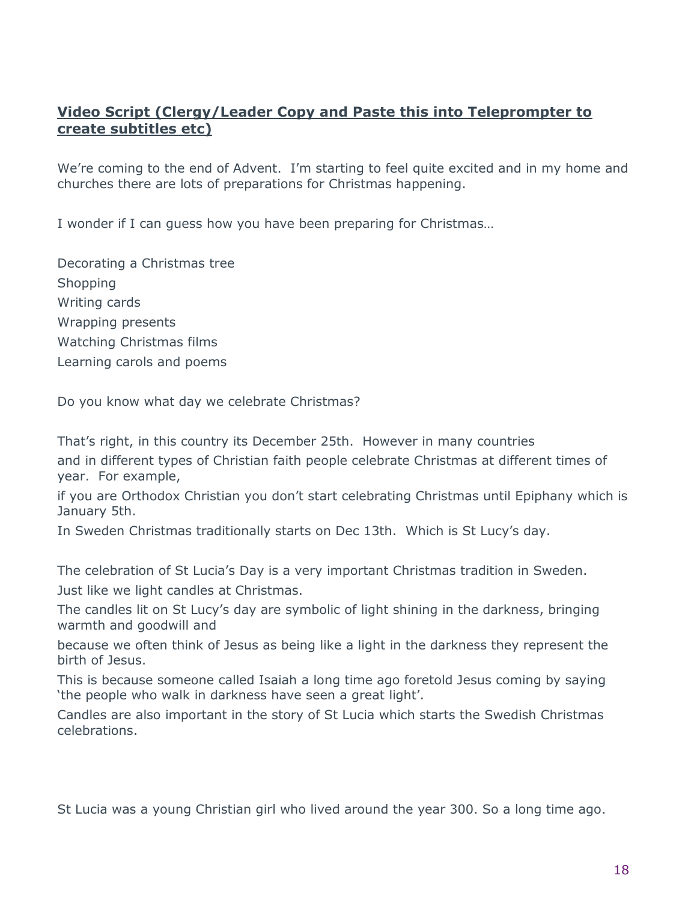# **Video Script (Clergy/Leader Copy and Paste this into Teleprompter to create subtitles etc)**

We're coming to the end of Advent. I'm starting to feel quite excited and in my home and churches there are lots of preparations for Christmas happening.

I wonder if I can guess how you have been preparing for Christmas…

Decorating a Christmas tree Shopping Writing cards Wrapping presents Watching Christmas films Learning carols and poems

Do you know what day we celebrate Christmas?

That's right, in this country its December 25th. However in many countries and in different types of Christian faith people celebrate Christmas at different times of year. For example,

if you are Orthodox Christian you don't start celebrating Christmas until Epiphany which is January 5th.

In Sweden Christmas traditionally starts on Dec 13th. Which is St Lucy's day.

The celebration of St Lucia's Day is a very important Christmas tradition in Sweden. Just like we light candles at Christmas.

The candles lit on St Lucy's day are symbolic of light shining in the darkness, bringing warmth and goodwill and

because we often think of Jesus as being like a light in the darkness they represent the birth of Jesus.

This is because someone called Isaiah a long time ago foretold Jesus coming by saying 'the people who walk in darkness have seen a great light'.

Candles are also important in the story of St Lucia which starts the Swedish Christmas celebrations.

St Lucia was a young Christian girl who lived around the year 300. So a long time ago.